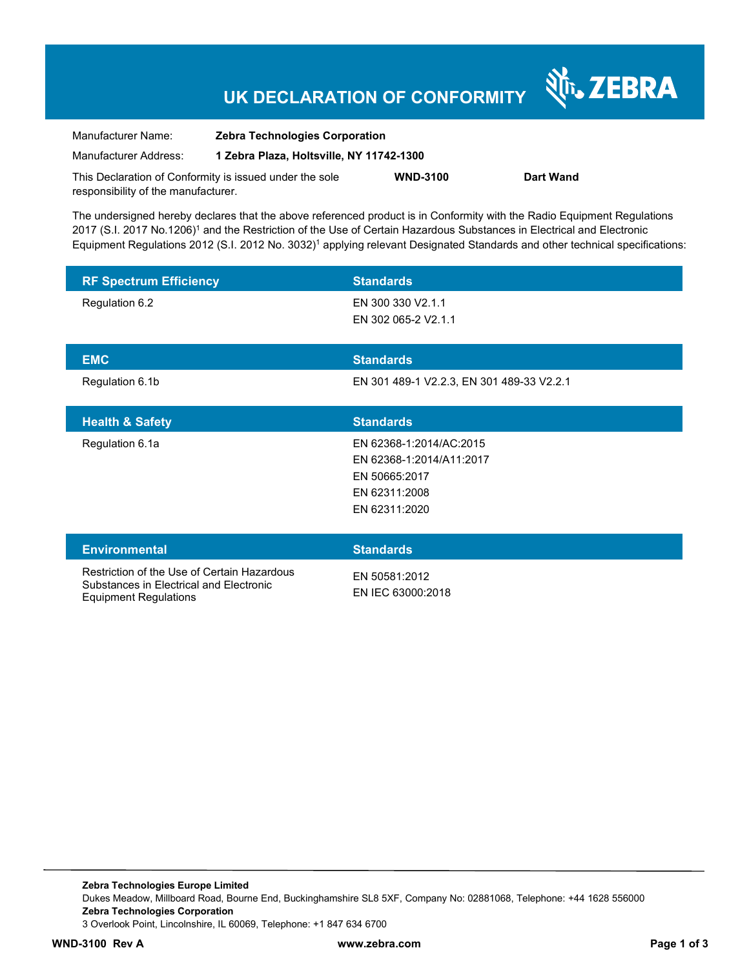# **UK DECLARATION OF CONFORMITY**

Nr. ZEBRA

| Manufacturer Name:                                      | <b>Zebra Technologies Corporation</b>    |                 |           |
|---------------------------------------------------------|------------------------------------------|-----------------|-----------|
| Manufacturer Address:                                   | 1 Zebra Plaza, Holtsville, NY 11742-1300 |                 |           |
| This Declaration of Conformity is issued under the sole |                                          | <b>WND-3100</b> | Dart Wand |
| responsibility of the manufacturer.                     |                                          |                 |           |

The undersigned hereby declares that the above referenced product is in Conformity with the Radio Equipment Regulations 2017 (S.I. 2017 No.1206)<sup>1</sup> and the Restriction of the Use of Certain Hazardous Substances in Electrical and Electronic Equipment Regulations 2012 (S.I. 2012 No. 3032)<sup>1</sup> applying relevant Designated Standards and other technical specifications:

| <b>RF Spectrum Efficiency</b>                                                                                          | <b>Standards</b>                                                                                       |
|------------------------------------------------------------------------------------------------------------------------|--------------------------------------------------------------------------------------------------------|
| Regulation 6.2                                                                                                         | EN 300 330 V2.1.1<br>EN 302 065-2 V2.1.1                                                               |
| <b>EMC</b>                                                                                                             | <b>Standards</b>                                                                                       |
| Regulation 6.1b                                                                                                        | EN 301 489-1 V2.2.3, EN 301 489-33 V2.2.1                                                              |
| <b>Health &amp; Safety</b>                                                                                             | <b>Standards</b>                                                                                       |
| Regulation 6.1a                                                                                                        | EN 62368-1:2014/AC:2015<br>EN 62368-1:2014/A11:2017<br>EN 50665:2017<br>EN 62311:2008<br>EN 62311:2020 |
| <b>Environmental</b>                                                                                                   | <b>Standards</b>                                                                                       |
| Restriction of the Use of Certain Hazardous<br>Substances in Electrical and Electronic<br><b>Equipment Regulations</b> | EN 50581:2012<br>EN IEC 63000:2018                                                                     |

**Zebra Technologies Europe Limited**  Dukes Meadow, Millboard Road, Bourne End, Buckinghamshire SL8 5XF, Company No: 02881068, Telephone: +44 1628 556000 **Zebra Technologies Corporation**  3 Overlook Point, Lincolnshire, IL 60069, Telephone: +1 847 634 6700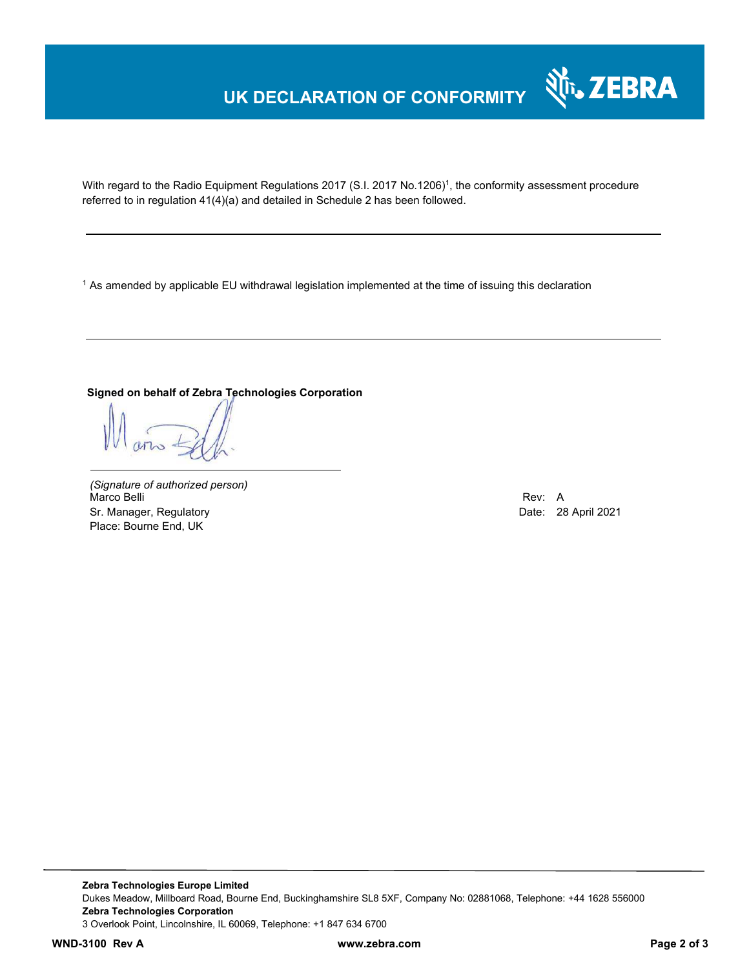### **UK DECLARATION OF CONFORMITY**



With regard to the Radio Equipment Regulations 2017 (S.I. 2017 No.1206)<sup>1</sup>, the conformity assessment procedure referred to in regulation 41(4)(a) and detailed in Schedule 2 has been followed.

1 As amended by applicable EU withdrawal legislation implemented at the time of issuing this declaration

### **Signed on behalf of Zebra Technologies Corporation**

*(Signature of authorized person)* Marco Belli Rev: A Sr. Manager, Regulatory **Date: 28 April 2021** Place: Bourne End, UK